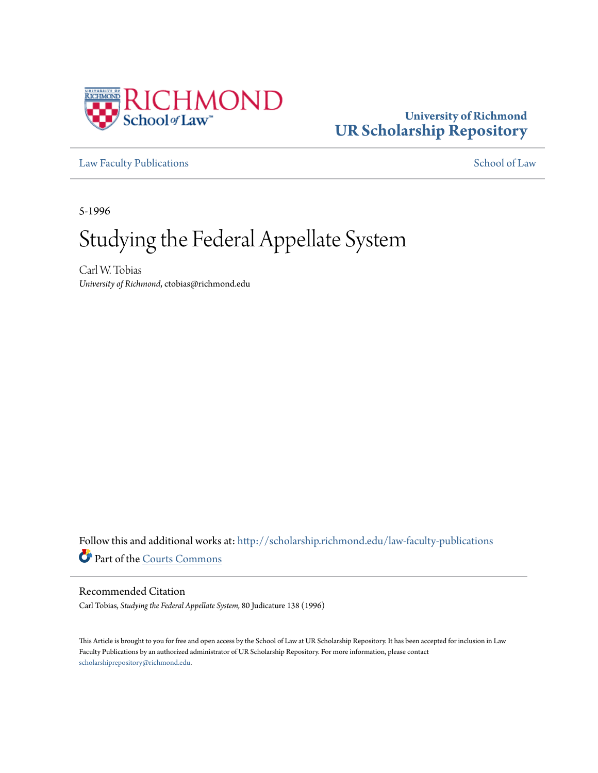

## **University of Richmond [UR Scholarship Repository](http://scholarship.richmond.edu?utm_source=scholarship.richmond.edu%2Flaw-faculty-publications%2F1056&utm_medium=PDF&utm_campaign=PDFCoverPages)**

[Law Faculty Publications](http://scholarship.richmond.edu/law-faculty-publications?utm_source=scholarship.richmond.edu%2Flaw-faculty-publications%2F1056&utm_medium=PDF&utm_campaign=PDFCoverPages) [School of Law](http://scholarship.richmond.edu/law?utm_source=scholarship.richmond.edu%2Flaw-faculty-publications%2F1056&utm_medium=PDF&utm_campaign=PDFCoverPages)

5-1996

# Studying the Federal Appellate System

Carl W. Tobias *University of Richmond*, ctobias@richmond.edu

Follow this and additional works at: [http://scholarship.richmond.edu/law-faculty-publications](http://scholarship.richmond.edu/law-faculty-publications?utm_source=scholarship.richmond.edu%2Flaw-faculty-publications%2F1056&utm_medium=PDF&utm_campaign=PDFCoverPages) Part of the [Courts Commons](http://network.bepress.com/hgg/discipline/839?utm_source=scholarship.richmond.edu%2Flaw-faculty-publications%2F1056&utm_medium=PDF&utm_campaign=PDFCoverPages)

### Recommended Citation

Carl Tobias, *Studying the Federal Appellate System,* 80 Judicature 138 (1996)

This Article is brought to you for free and open access by the School of Law at UR Scholarship Repository. It has been accepted for inclusion in Law Faculty Publications by an authorized administrator of UR Scholarship Repository. For more information, please contact [scholarshiprepository@richmond.edu.](mailto:scholarshiprepository@richmond.edu)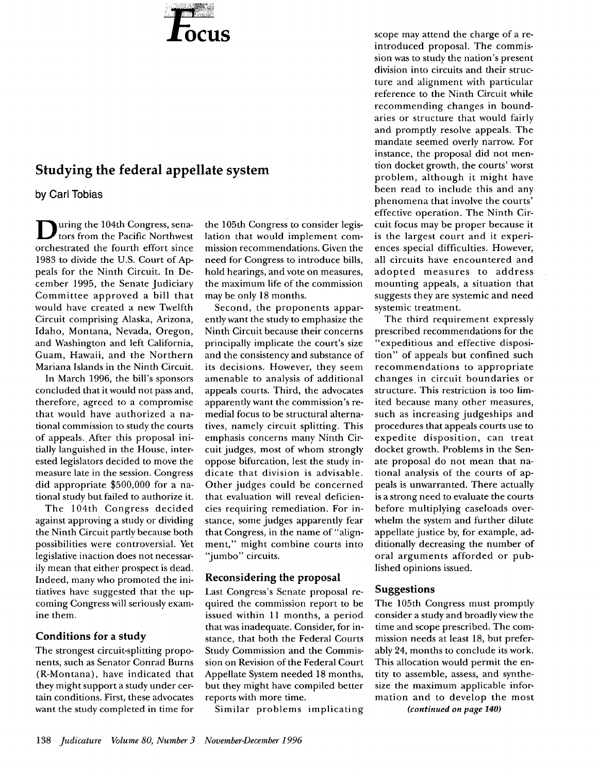

## Studying the federal appellate system

by Carl Tobias

uring the 104th Congress, senators from the Pacific Northwest orchestrated the fourth effort since 1983 to divide the U.S. Court of Appeals for the Ninth Circuit. In December 1995, the Senate Judiciary Committee approved a bill that would have created a new Twelfth Circuit comprising Alaska, Arizona, Idaho, Montana, Nevada, Oregon, and Washington and left California, Guam, Hawaii, and the Northern Mariana Islands in the Ninth Circuit.

In March 1996, the bill's sponsors concluded that it would not pass and, therefore, agreed to a compromise that would have authorized a national commission to study the courts of appeals. After this proposal initially languished in the House, interested legislators decided to move the measure late in the session. Congress did appropriate \$500,000 for a national study but failed to authorize it.

The 104th Congress decided against approving a study or dividing the Ninth Circuit partly because both possibilities were controversial. Yet legislative inaction does not necessarily mean that either prospect is dead. Indeed, many who promoted the initiatives have suggested that the upcoming Congress will seriously examine them.

#### Conditions for a study

The strongest circuit-splitting proponents, such as Senator Conrad Burns (R-Montana), have indicated that they might support a study under certain conditions. First, these advocates want the study completed in time for

the 105th Congress to consider legislation that would implement commission recommendations. Given the need for Congress to introduce bills, hold hearings, and vote on measures, the maximum life of the commission may be only 18 months.

Second, the proponents apparently want the study to emphasize the Ninth Circuit because their concerns principally implicate the court's size and the consistency and substance of its decisions. However, they seem amenable to analysis of additional appeals courts. Third, the advocates apparently want the commission's remedial focus to be structural alternatives, namely circuit splitting. This emphasis concerns many Ninth Circuit judges, most of whom strongly oppose bifurcation, lest the study indicate that division is advisable. Other judges could be concerned that evaluation will reveal deficiencies requiring remediation. For instance, some judges apparently fear that Congress, in the name of "alignment," might combine courts into "jumbo" circuits.

#### Reconsidering the proposal

Last Congress's Senate proposal required the commission report to be issued within 11 months, a period that was inadequate. Consider, for instance, that both the Federal Courts Study Commission and the Commission on Revision of the Federal Court Appellate System needed 18 months, but they might have compiled better reports with more time.

Similar problems implicating

scope may attend the charge of a reintroduced proposal. The commission was to study the nation's present division into circuits and their structure and alignment with particular reference to the Ninth Circuit while recommending changes in boundaries or structure that would fairly and promptly resolve appeals. The mandate seemed overly narrow. For instance, the proposal did not mention docket growth, the courts' worst problem, although it might have been read to include this and any phenomena that involve the courts' effective operation. The Ninth Circuit focus may be proper because it is the largest court and it experiences special difficulties. However, all circuits have encountered and adopted measures to address mounting appeals, a situation that suggests they are systemic and need systemic treatment.

The third requirement expressly prescribed recommendations for the "expeditious and effective disposition" of appeals but confined such recommendations to appropriate changes in circuit boundaries or structure. This restriction is too limited because many other measures, such as increasing judgeships and procedures that appeals courts use to expedite disposition, can treat docket growth. Problems in the Senate proposal do not mean that national analysis of the courts of appeals is unwarranted. There actually is a strong need to evaluate the courts before multiplying caseloads overwhelm the system and further dilute appellate justice by, for example, additionally decreasing the number of oral arguments afforded or published opinions issued.

#### Suggestions

The 105th Congress must promptly consider a study and broadly view the time and scope prescribed. The commission needs at least 18, but preferably 24, months to conclude its work. This allocation would permit the entity to assemble, assess, and synthesize the maximum applicable information and to develop the most

*(continued on page 140)*